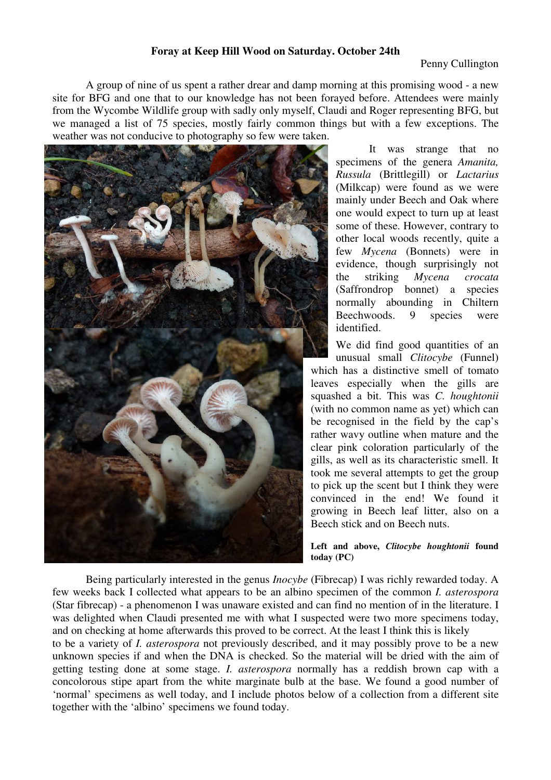## **Foray at Keep Hill Wood on Saturday. October 24th**

 A group of nine of us spent a rather drear and damp morning at this promising wood - a new site for BFG and one that to our knowledge has not been forayed before. Attendees were mainly from the Wycombe Wildlife group with sadly only myself, Claudi and Roger representing BFG, but we managed a list of 75 species, mostly fairly common things but with a few exceptions. The weather was not conducive to photography so few were taken.



 It was strange that no specimens of the genera *Amanita, Russula* (Brittlegill) or *Lactarius* (Milkcap) were found as we were mainly under Beech and Oak where one would expect to turn up at least some of these. However, contrary to other local woods recently, quite a few *Mycena* (Bonnets) were in evidence, though surprisingly not the striking *Mycena crocata* (Saffrondrop bonnet) a species normally abounding in Chiltern Beechwoods. 9 species were identified.

We did find good quantities of an unusual small *Clitocybe* (Funnel) which has a distinctive smell of tomato leaves especially when the gills are squashed a bit. This was *C. houghtonii* (with no common name as yet) which can be recognised in the field by the cap's rather wavy outline when mature and the clear pink coloration particularly of the gills, as well as its characteristic smell. It took me several attempts to get the group to pick up the scent but I think they were convinced in the end! We found it growing in Beech leaf litter, also on a Beech stick and on Beech nuts.

**Left and above,** *Clitocybe houghtonii* **found today (PC)** 

 Being particularly interested in the genus *Inocybe* (Fibrecap) I was richly rewarded today. A few weeks back I collected what appears to be an albino specimen of the common *I. asterospora* (Star fibrecap) - a phenomenon I was unaware existed and can find no mention of in the literature. I was delighted when Claudi presented me with what I suspected were two more specimens today, and on checking at home afterwards this proved to be correct. At the least I think this is likely to be a variety of *I. asterospora* not previously described, and it may possibly prove to be a new unknown species if and when the DNA is checked. So the material will be dried with the aim of getting testing done at some stage. *I. asterospora* normally has a reddish brown cap with a

concolorous stipe apart from the white marginate bulb at the base. We found a good number of 'normal' specimens as well today, and I include photos below of a collection from a different site together with the 'albino' specimens we found today.